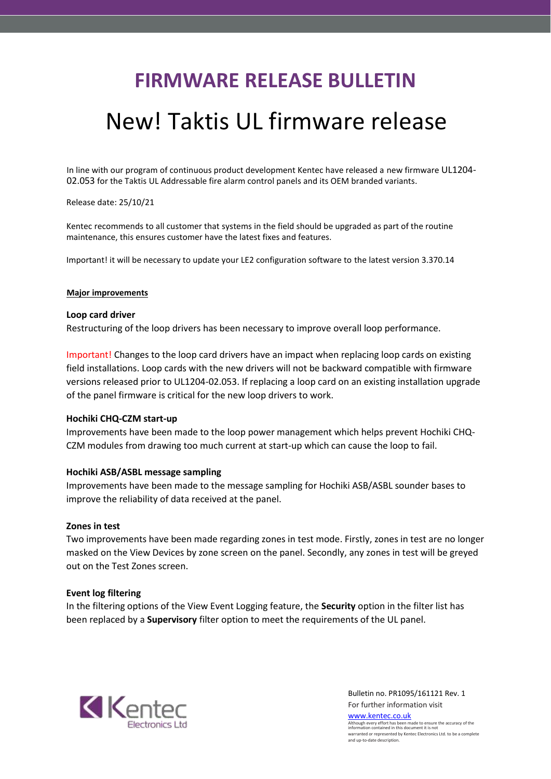# **FIRMWARE RELEASE BULLETIN**

# New! Taktis UL firmware release

In line with our program of continuous product development Kentec have released a new firmware UL1204- 02.053 for the Taktis UL Addressable fire alarm control panels and its OEM branded variants.

Release date: 25/10/21

Kentec recommends to all customer that systems in the field should be upgraded as part of the routine maintenance, this ensures customer have the latest fixes and features.

Important! it will be necessary to update your LE2 configuration software to the latest version 3.370.14

#### **Major improvements**

#### **Loop card driver**

Restructuring of the loop drivers has been necessary to improve overall loop performance.

Important! Changes to the loop card drivers have an impact when replacing loop cards on existing field installations. Loop cards with the new drivers will not be backward compatible with firmware versions released prior to UL1204-02.053. If replacing a loop card on an existing installation upgrade of the panel firmware is critical for the new loop drivers to work.

#### **Hochiki CHQ-CZM start-up**

Improvements have been made to the loop power management which helps prevent Hochiki CHQ-CZM modules from drawing too much current at start-up which can cause the loop to fail.

#### **Hochiki ASB/ASBL message sampling**

Improvements have been made to the message sampling for Hochiki ASB/ASBL sounder bases to improve the reliability of data received at the panel.

#### **Zones in test**

Two improvements have been made regarding zones in test mode. Firstly, zones in test are no longer masked on the View Devices by zone screen on the panel. Secondly, any zones in test will be greyed out on the Test Zones screen.

#### **Event log filtering**

In the filtering options of the View Event Logging feature, the **Security** option in the filter list has been replaced by a **Supervisory** filter option to meet the requirements of the UL panel.



Bulletin no. PR1095/161121 Rev. 1 For further information visit [www.kentec.co.uk](http://www.kentec.co.uk/) Although every effort has been made to ensure the accuracy of the information contained in this document it is not

warranted or represented by Kentec Electronics Ltd. to be a complete

and up-to-date description.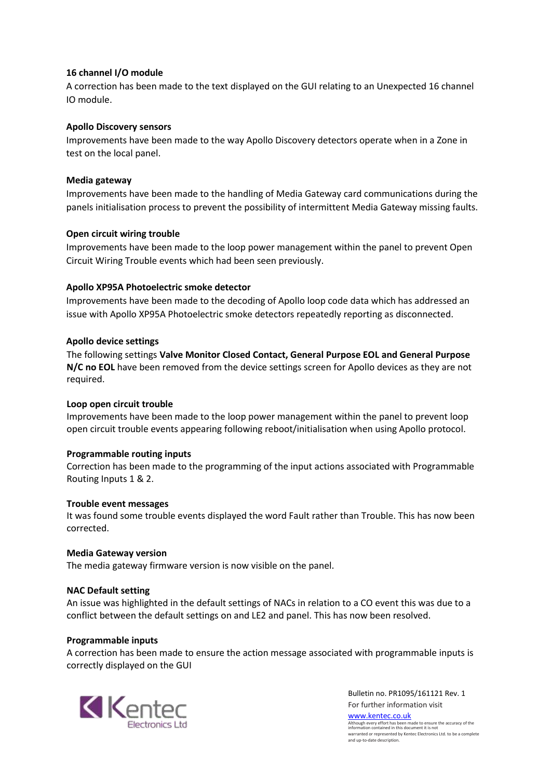# **16 channel I/O module**

A correction has been made to the text displayed on the GUI relating to an Unexpected 16 channel IO module.

## **Apollo Discovery sensors**

Improvements have been made to the way Apollo Discovery detectors operate when in a Zone in test on the local panel.

## **Media gateway**

Improvements have been made to the handling of Media Gateway card communications during the panels initialisation process to prevent the possibility of intermittent Media Gateway missing faults.

# **Open circuit wiring trouble**

Improvements have been made to the loop power management within the panel to prevent Open Circuit Wiring Trouble events which had been seen previously.

# **Apollo XP95A Photoelectric smoke detector**

Improvements have been made to the decoding of Apollo loop code data which has addressed an issue with Apollo XP95A Photoelectric smoke detectors repeatedly reporting as disconnected.

# **Apollo device settings**

The following settings **Valve Monitor Closed Contact, General Purpose EOL and General Purpose N/C no EOL** have been removed from the device settings screen for Apollo devices as they are not required.

#### **Loop open circuit trouble**

Improvements have been made to the loop power management within the panel to prevent loop open circuit trouble events appearing following reboot/initialisation when using Apollo protocol.

#### **Programmable routing inputs**

Correction has been made to the programming of the input actions associated with Programmable Routing Inputs 1 & 2.

#### **Trouble event messages**

It was found some trouble events displayed the word Fault rather than Trouble. This has now been corrected.

#### **Media Gateway version**

The media gateway firmware version is now visible on the panel.

#### **NAC Default setting**

An issue was highlighted in the default settings of NACs in relation to a CO event this was due to a conflict between the default settings on and LE2 and panel. This has now been resolved.

#### **Programmable inputs**

A correction has been made to ensure the action message associated with programmable inputs is correctly displayed on the GUI



Bulletin no. PR1095/161121 Rev. 1 For further information visit [www.kentec.co.uk](http://www.kentec.co.uk/)

Although every effort has been made to ensure the accuracy of the information contained in this document it is not warranted or represented by Kentec Electronics Ltd. to be a complete and up-to-date description.